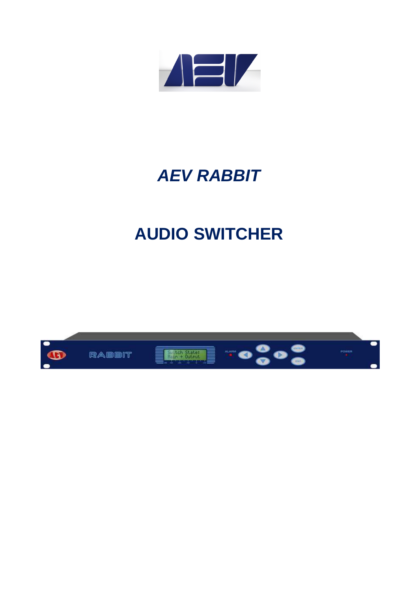

## **AEV RABBIT**

## **AUDIO SWITCHER**

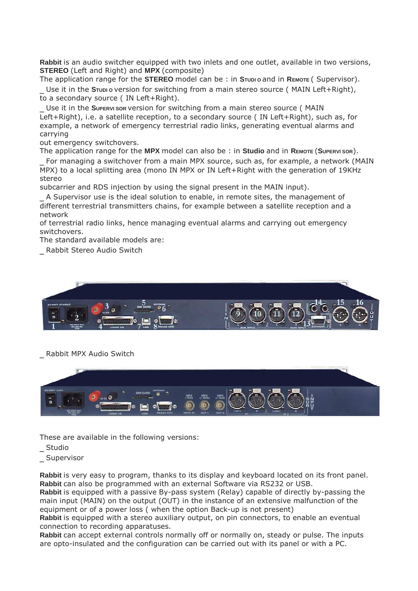**Rabbit** is an audio switcher equipped with two inlets and one outlet, available in two versions, **STEREO** (Left and Right) and **MPX** (composite)

The application range for the **STEREO** model can be : in **STUDI O** and in **REMOTE** ( Supervisor).

Use it in the **S***Tubi o version for switching from a main stereo source (MAIN Left+Right),* to a secondary source ( IN Left+Right).

\_ Use it in the **SUPERVI SOR** version for switching from a main stereo source ( MAIN Left+Right), i.e. a satellite reception, to a secondary source ( IN Left+Right), such as, for example, a network of emergency terrestrial radio links, generating eventual alarms and carrying

out emergency switchovers.

The application range for the **MPX** model can also be : in **Studio** and in **REMOTE** (**SUPERVI SOR**).

For managing a switchover from a main MPX source, such as, for example, a network (MAIN MPX) to a local splitting area (mono IN MPX or IN Left+Right with the generation of 19KHz stereo

subcarrier and RDS injection by using the signal present in the MAIN input).

\_ A Supervisor use is the ideal solution to enable, in remote sites, the management of different terrestrial transmitters chains, for example between a satellite reception and a network

of terrestrial radio links, hence managing eventual alarms and carrying out emergency switchovers.

The standard available models are:

\_ Rabbit Stereo Audio Switch



## \_ Rabbit MPX Audio Switch



These are available in the following versions:

**Studio** 

\_ Supervisor

**Rabbit** is very easy to program, thanks to its display and keyboard located on its front panel. **Rabbit** can also be programmed with an external Software via RS232 or USB.

**Rabbit** is equipped with a passive By-pass system (Relay) capable of directly by-passing the main input (MAIN) on the output (OUT) in the instance of an extensive malfunction of the equipment or of a power loss ( when the option Back-up is not present)

**Rabbit** is equipped with a stereo auxiliary output, on pin connectors, to enable an eventual connection to recording apparatuses.

**Rabbit** can accept external controls normally off or normally on, steady or pulse. The inputs are opto-insulated and the configuration can be carried out with its panel or with a PC.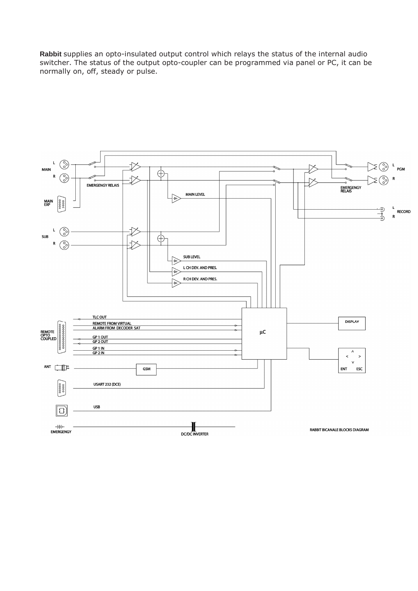**Rabbit** supplies an opto-insulated output control which relays the status of the internal audio switcher. The status of the output opto-coupler can be programmed via panel or PC, it can be normally on, off, steady or pulse.

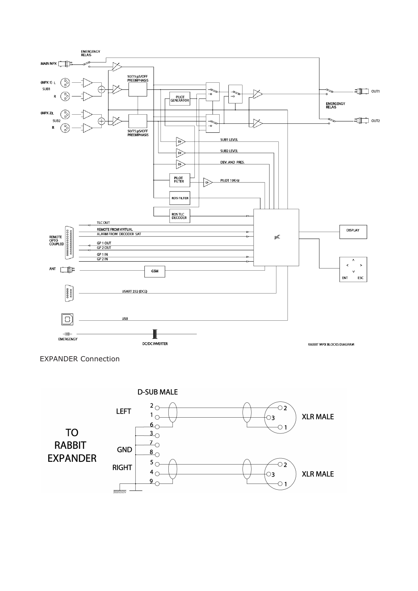

EXPANDER Connection

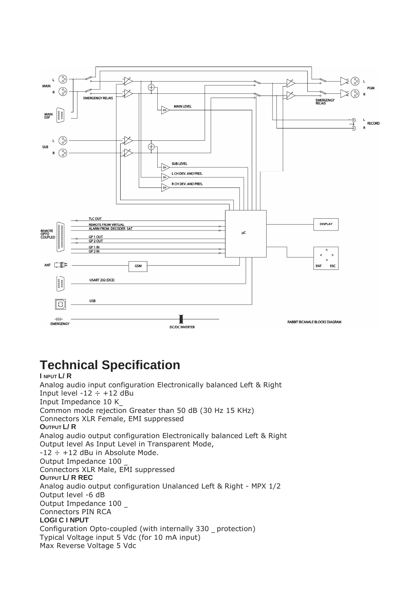

## **Technical Specification**

**I NPUT L/ R**  Analog audio input configuration Electronically balanced Left & Right Input level  $-12 \div +12$  dBu Input Impedance 10 K\_ Common mode rejection Greater than 50 dB (30 Hz 15 KHz) Connectors XLR Female, EMI suppressed **OUTPUT L/ R**  Analog audio output configuration Electronically balanced Left & Right Output level As Input Level in Transparent Mode,  $-12 \div +12$  dBu in Absolute Mode. Output Impedance 100 \_ Connectors XLR Male, EMI suppressed **OUTPUT L/ R REC**  Analog audio output configuration Unalanced Left & Right - MPX 1/2 Output level -6 dB Output Impedance 100 \_ Connectors PIN RCA **LOGI C I NPUT**  Configuration Opto-coupled (with internally 330 \_ protection) Typical Voltage input 5 Vdc (for 10 mA input) Max Reverse Voltage 5 Vdc